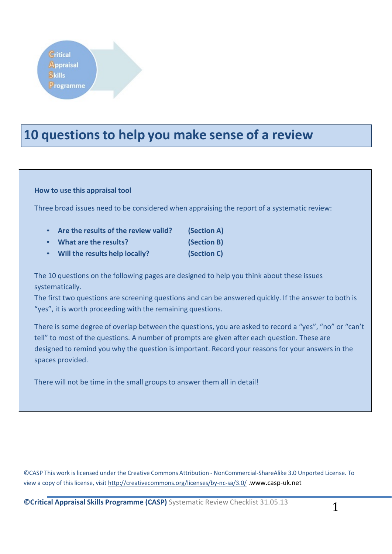## **10 questions to help you make sense of a review**

#### **How to use this appraisal tool**

Three broad issues need to be considered when appraising the report of a systematic review:

- **Are the results of the review valid? (Section A)**
- **What are the results? (Section B)**
- 
- **Will the results help locally? (Section C)**

The 10 questions on the following pages are designed to help you think about these issues systematically.

The first two questions are screening questions and can be answered quickly. If the answer to both is "yes", it is worth proceeding with the remaining questions.

There is some degree of overlap between the questions, you are asked to record a "yes", "no" or "can't tell" to most of the questions. A number of prompts are given after each question. These are designed to remind you why the question is important. Record your reasons for your answers in the spaces provided.

There will not be time in the small groups to answer them all in detail!

©CASP This work is licensed under the Creative Commons Attribution - NonCommercial-ShareAlike 3.0 Unported License. To view a copy of this license, visit <http://creativecommons.org/licenses/by-nc-sa/3.0/>.www.casp-uk.net

**CCritical Appraisal Skills Programme (CASP)** Systematic Review Checklist 31.05.13 1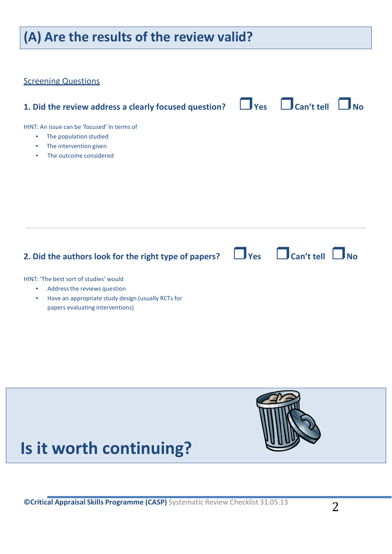## **(A) Are the results of the review valid? Screening Questions 1. Did the review address a clearly focused question? Yes Can't tell No** HINT: An issue can be 'focused' In terms of • The population studied The intervention given • The outcome considered **2. Did the authors look for the right type of papers?**  $\Box$  Yes  $\Box$  Can't tell  $\Box$  No HINT: 'The best sort of studies' would Address the reviews question • Have an appropriate study design (usually RCTs for papers evaluating interventions)



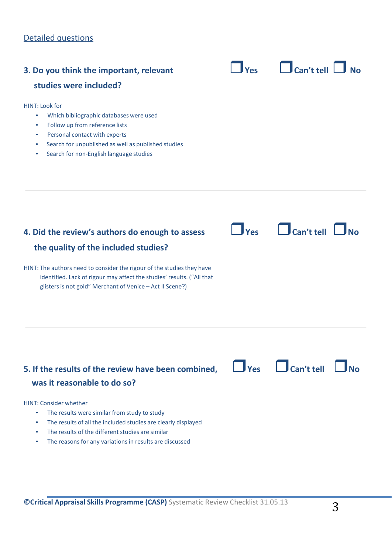## Detailed questions

| 3. Do you think the important, relevant<br>studies were included?                                                                                                                                                                                                                                                                        | Yes            | Can't tell                                  |
|------------------------------------------------------------------------------------------------------------------------------------------------------------------------------------------------------------------------------------------------------------------------------------------------------------------------------------------|----------------|---------------------------------------------|
| <b>HINT: Look for</b><br>Which bibliographic databases were used<br>$\bullet$<br>Follow up from reference lists<br>$\bullet$<br>Personal contact with experts<br>$\bullet$<br>Search for unpublished as well as published studies<br>٠<br>Search for non-English language studies<br>$\bullet$                                           |                |                                             |
| 4. Did the review's authors do enough to assess<br>the quality of the included studies?<br>HINT: The authors need to consider the rigour of the studies they have<br>identified. Lack of rigour may affect the studies' results. ("All that                                                                                              | $\mathsf{Yes}$ | $\Box$ Can't tell                           |
| glisters is not gold" Merchant of Venice - Act II Scene?)<br>5. If the results of the review have been combined,                                                                                                                                                                                                                         |                | $\Box$ Yes $\Box$ Can't tell<br>$\n  TNo\n$ |
| was it reasonable to do so?<br><b>HINT: Consider whether</b><br>The results were similar from study to study<br>۰<br>The results of all the included studies are clearly displayed<br>$\bullet$<br>The results of the different studies are similar<br>$\bullet$<br>The reasons for any variations in results are discussed<br>$\bullet$ |                |                                             |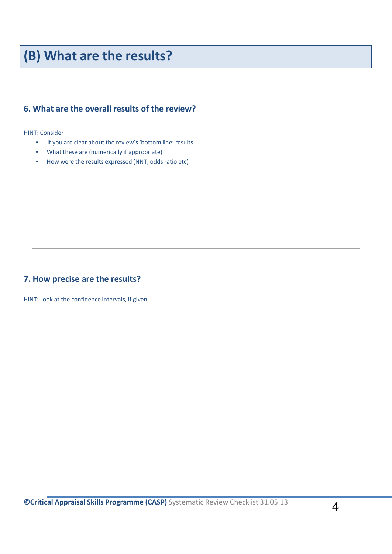## **(B) What are the results?**

### **6. What are the overall results of the review?**

HINT: Consider

- If you are clear about the review's 'bottom line' results
- What these are (numerically if appropriate)
- How were the results expressed (NNT, odds ratio etc)

#### **7. How precise are the results?**

HINT: Look at the confidence intervals, if given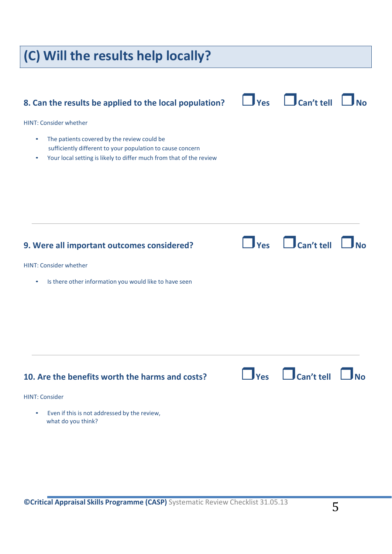# **(C) Will the results help locally? 8. Can the results be applied to the local population?**  $\Box$  Yes  $\Box$  Can't tell  $\Box$  No HINT: Consider whether • The patients covered by the review could be sufficiently different to your population to cause concern Your local setting is likely to differ much from that of the review **9. Were all important outcomes considered? Yes Can't tell No** HINT: Consider whether • Is there other information you would like to have seen **10. Are the benefits worth the harms and costs? Yes Can't tell No** HINT: Consider Even if this is not addressed by the review, what do you think?